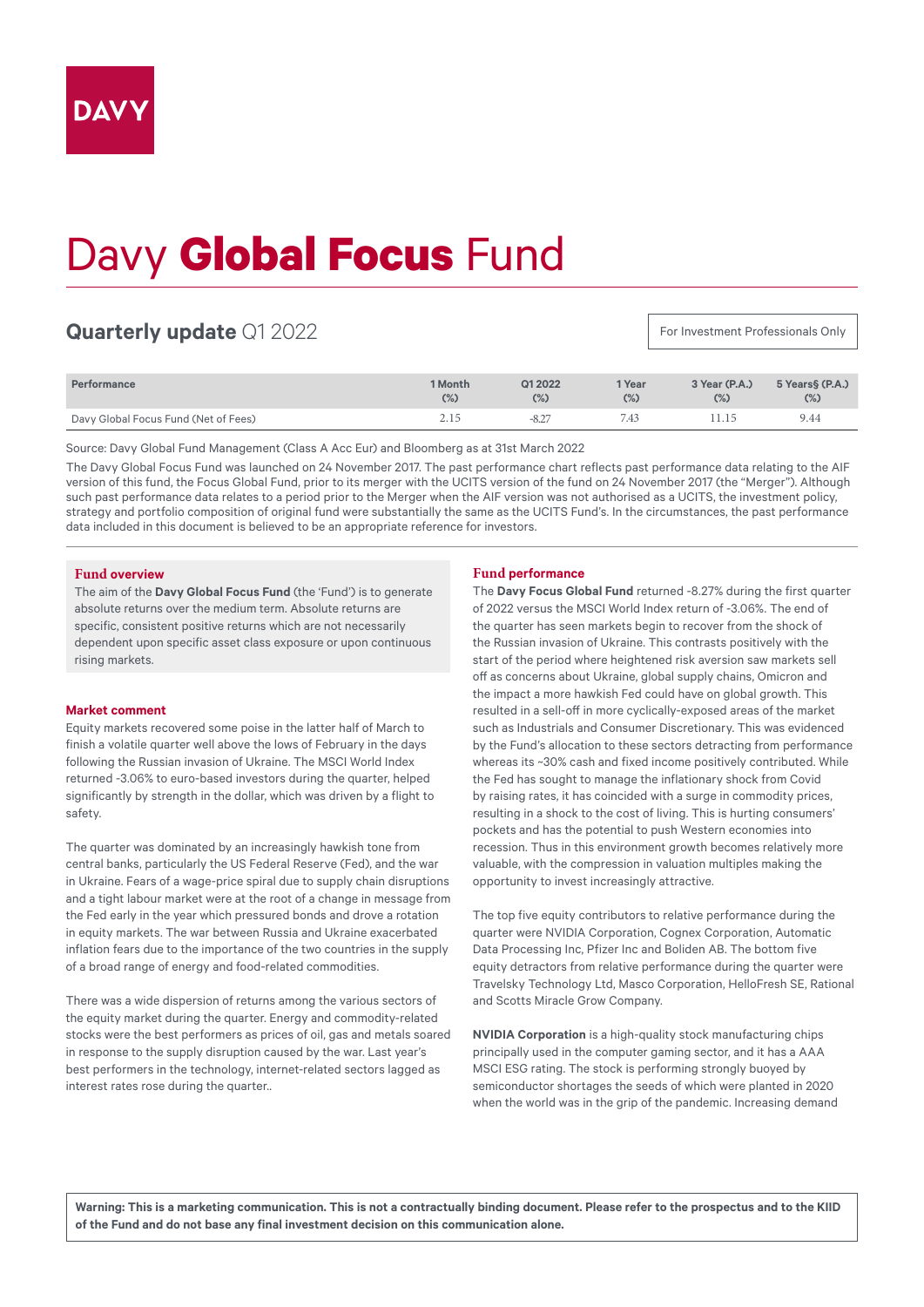# Davy **Global Focus** Fund

# **Quarterly update** Q1 2022

For Investment Professionals Only

| Performance                          | 1 Month<br>(%) | Q1 2022<br>(%) | 1 Year<br>(%) | 3 Year (P.A.)<br>$(\%)$ | 5 Years§ (P.A.)<br>(%) |
|--------------------------------------|----------------|----------------|---------------|-------------------------|------------------------|
| Davy Global Focus Fund (Net of Fees) | 2.15           | $-8.2^{-}$     | 7.43          |                         | 9.44                   |

Source: Davy Global Fund Management (Class A Acc Eur) and Bloomberg as at 31st March 2022

The Davy Global Focus Fund was launched on 24 November 2017. The past performance chart reflects past performance data relating to the AIF version of this fund, the Focus Global Fund, prior to its merger with the UCITS version of the fund on 24 November 2017 (the "Merger"). Although such past performance data relates to a period prior to the Merger when the AIF version was not authorised as a UCITS, the investment policy, strategy and portfolio composition of original fund were substantially the same as the UCITS Fund's. In the circumstances, the past performance data included in this document is believed to be an appropriate reference for investors.

#### **Fund overview**

The aim of the **Davy Global Focus Fund** (the 'Fund') is to generate absolute returns over the medium term. Absolute returns are specific, consistent positive returns which are not necessarily dependent upon specific asset class exposure or upon continuous rising markets.

## **Market comment**

Equity markets recovered some poise in the latter half of March to finish a volatile quarter well above the lows of February in the days following the Russian invasion of Ukraine. The MSCI World Index returned -3.06% to euro-based investors during the quarter, helped significantly by strength in the dollar, which was driven by a flight to safety.

The quarter was dominated by an increasingly hawkish tone from central banks, particularly the US Federal Reserve (Fed), and the war in Ukraine. Fears of a wage-price spiral due to supply chain disruptions and a tight labour market were at the root of a change in message from the Fed early in the year which pressured bonds and drove a rotation in equity markets. The war between Russia and Ukraine exacerbated inflation fears due to the importance of the two countries in the supply of a broad range of energy and food-related commodities.

There was a wide dispersion of returns among the various sectors of the equity market during the quarter. Energy and commodity-related stocks were the best performers as prices of oil, gas and metals soared in response to the supply disruption caused by the war. Last year's best performers in the technology, internet-related sectors lagged as interest rates rose during the quarter..

## **Fund performance**

The **Davy Focus Global Fund** returned -8.27% during the first quarter of 2022 versus the MSCI World Index return of -3.06%. The end of the quarter has seen markets begin to recover from the shock of the Russian invasion of Ukraine. This contrasts positively with the start of the period where heightened risk aversion saw markets sell off as concerns about Ukraine, global supply chains, Omicron and the impact a more hawkish Fed could have on global growth. This resulted in a sell-off in more cyclically-exposed areas of the market such as Industrials and Consumer Discretionary. This was evidenced by the Fund's allocation to these sectors detracting from performance whereas its ~30% cash and fixed income positively contributed. While the Fed has sought to manage the inflationary shock from Covid by raising rates, it has coincided with a surge in commodity prices, resulting in a shock to the cost of living. This is hurting consumers' pockets and has the potential to push Western economies into recession. Thus in this environment growth becomes relatively more valuable, with the compression in valuation multiples making the opportunity to invest increasingly attractive.

The top five equity contributors to relative performance during the quarter were NVIDIA Corporation, Cognex Corporation, Automatic Data Processing Inc, Pfizer Inc and Boliden AB. The bottom five equity detractors from relative performance during the quarter were Travelsky Technology Ltd, Masco Corporation, HelloFresh SE, Rational and Scotts Miracle Grow Company.

**NVIDIA Corporation** is a high-quality stock manufacturing chips principally used in the computer gaming sector, and it has a AAA MSCI ESG rating. The stock is performing strongly buoyed by semiconductor shortages the seeds of which were planted in 2020 when the world was in the grip of the pandemic. Increasing demand

**Warning: This is a marketing communication. This is not a contractually binding document. Please refer to the prospectus and to the KIID of the Fund and do not base any final investment decision on this communication alone.**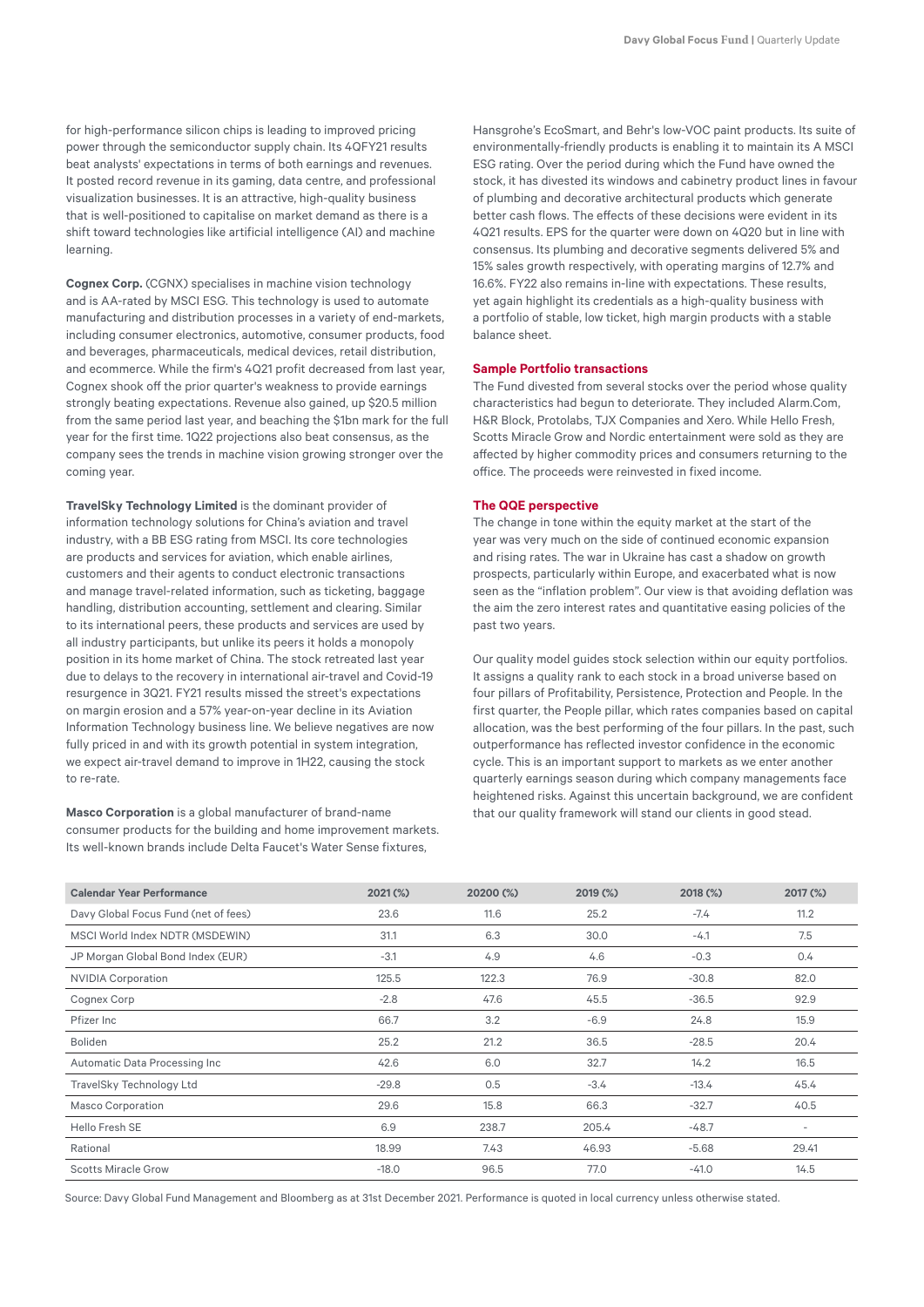for high-performance silicon chips is leading to improved pricing power through the semiconductor supply chain. Its 4QFY21 results beat analysts' expectations in terms of both earnings and revenues. It posted record revenue in its gaming, data centre, and professional visualization businesses. It is an attractive, high-quality business that is well-positioned to capitalise on market demand as there is a shift toward technologies like artificial intelligence (AI) and machine learning.

**Cognex Corp.** (CGNX) specialises in machine vision technology and is AA-rated by MSCI ESG. This technology is used to automate manufacturing and distribution processes in a variety of end-markets, including consumer electronics, automotive, consumer products, food and beverages, pharmaceuticals, medical devices, retail distribution, and ecommerce. While the firm's 4Q21 profit decreased from last year, Cognex shook off the prior quarter's weakness to provide earnings strongly beating expectations. Revenue also gained, up \$20.5 million from the same period last year, and beaching the \$1bn mark for the full year for the first time. 1Q22 projections also beat consensus, as the company sees the trends in machine vision growing stronger over the coming year.

**TravelSky Technology Limited** is the dominant provider of information technology solutions for China's aviation and travel industry, with a BB ESG rating from MSCI. Its core technologies are products and services for aviation, which enable airlines, customers and their agents to conduct electronic transactions and manage travel-related information, such as ticketing, baggage handling, distribution accounting, settlement and clearing. Similar to its international peers, these products and services are used by all industry participants, but unlike its peers it holds a monopoly position in its home market of China. The stock retreated last year due to delays to the recovery in international air-travel and Covid-19 resurgence in 3Q21. FY21 results missed the street's expectations on margin erosion and a 57% year-on-year decline in its Aviation Information Technology business line. We believe negatives are now fully priced in and with its growth potential in system integration, we expect air-travel demand to improve in 1H22, causing the stock to re-rate.

**Masco Corporation** is a global manufacturer of brand-name consumer products for the building and home improvement markets. Its well-known brands include Delta Faucet's Water Sense fixtures,

Hansgrohe's EcoSmart, and Behr's low-VOC paint products. Its suite of environmentally-friendly products is enabling it to maintain its A MSCI ESG rating. Over the period during which the Fund have owned the stock, it has divested its windows and cabinetry product lines in favour of plumbing and decorative architectural products which generate better cash flows. The effects of these decisions were evident in its 4Q21 results. EPS for the quarter were down on 4Q20 but in line with consensus. Its plumbing and decorative segments delivered 5% and 15% sales growth respectively, with operating margins of 12.7% and 16.6%. FY22 also remains in-line with expectations. These results, yet again highlight its credentials as a high-quality business with a portfolio of stable, low ticket, high margin products with a stable balance sheet.

#### **Sample Portfolio transactions**

The Fund divested from several stocks over the period whose quality characteristics had begun to deteriorate. They included Alarm.Com, H&R Block, Protolabs, TJX Companies and Xero. While Hello Fresh, Scotts Miracle Grow and Nordic entertainment were sold as they are affected by higher commodity prices and consumers returning to the office. The proceeds were reinvested in fixed income.

#### **The QQE perspective**

The change in tone within the equity market at the start of the year was very much on the side of continued economic expansion and rising rates. The war in Ukraine has cast a shadow on growth prospects, particularly within Europe, and exacerbated what is now seen as the "inflation problem". Our view is that avoiding deflation was the aim the zero interest rates and quantitative easing policies of the past two years.

Our quality model guides stock selection within our equity portfolios. It assigns a quality rank to each stock in a broad universe based on four pillars of Profitability, Persistence, Protection and People. In the first quarter, the People pillar, which rates companies based on capital allocation, was the best performing of the four pillars. In the past, such outperformance has reflected investor confidence in the economic cycle. This is an important support to markets as we enter another quarterly earnings season during which company managements face heightened risks. Against this uncertain background, we are confident that our quality framework will stand our clients in good stead.

| <b>Calendar Year Performance</b>     | $2021$ (%) | 20200 (%) | 2019 (%) | 2018 (%) | 2017 (%)                 |
|--------------------------------------|------------|-----------|----------|----------|--------------------------|
| Davy Global Focus Fund (net of fees) | 23.6       | 11.6      | 25.2     | $-7.4$   | 11.2                     |
| MSCI World Index NDTR (MSDEWIN)      | 31.1       | 6.3       | 30.0     | $-4.1$   | 7.5                      |
| JP Morgan Global Bond Index (EUR)    | $-3.1$     | 4.9       | 4.6      | $-0.3$   | 0.4                      |
| <b>NVIDIA Corporation</b>            | 125.5      | 122.3     | 76.9     | $-30.8$  | 82.0                     |
| Cognex Corp                          | $-2.8$     | 47.6      | 45.5     | $-36.5$  | 92.9                     |
| Pfizer Inc                           | 66.7       | 3.2       | $-6.9$   | 24.8     | 15.9                     |
| <b>Boliden</b>                       | 25.2       | 21.2      | 36.5     | $-28.5$  | 20.4                     |
| Automatic Data Processing Inc        | 42.6       | 6.0       | 32.7     | 14.2     | 16.5                     |
| TravelSky Technology Ltd             | $-29.8$    | 0.5       | $-3.4$   | $-13.4$  | 45.4                     |
| <b>Masco Corporation</b>             | 29.6       | 15.8      | 66.3     | $-32.7$  | 40.5                     |
| Hello Fresh SE                       | 6.9        | 238.7     | 205.4    | $-48.7$  | $\overline{\phantom{0}}$ |
| Rational                             | 18.99      | 7.43      | 46.93    | $-5.68$  | 29.41                    |
| <b>Scotts Miracle Grow</b>           | $-18.0$    | 96.5      | 77.0     | $-41.0$  | 14.5                     |

Source: Davy Global Fund Management and Bloomberg as at 31st December 2021. Performance is quoted in local currency unless otherwise stated.